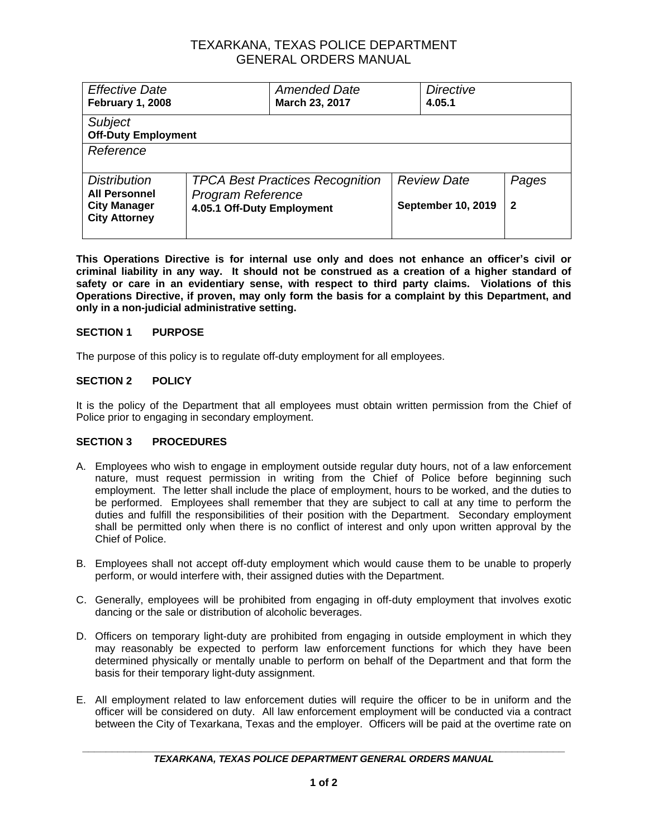## TEXARKANA, TEXAS POLICE DEPARTMENT GENERAL ORDERS MANUAL

| <b>Effective Date</b><br><b>February 1, 2008</b> |                                                                    | <b>Amended Date</b><br>March 23, 2017 |                                                 | <b>Directive</b><br>4.05.1 |                       |  |
|--------------------------------------------------|--------------------------------------------------------------------|---------------------------------------|-------------------------------------------------|----------------------------|-----------------------|--|
| Subject<br><b>Off-Duty Employment</b>            |                                                                    |                                       |                                                 |                            |                       |  |
| Reference                                        |                                                                    |                                       |                                                 |                            |                       |  |
| <b>Distribution</b><br><b>All Personnel</b>      | <b>TPCA Best Practices Recognition</b><br><b>Program Reference</b> |                                       | <b>Review Date</b><br><b>September 10, 2019</b> |                            | Pages<br>$\mathbf{2}$ |  |
| <b>City Manager</b><br><b>City Attorney</b>      | 4.05.1 Off-Duty Employment                                         |                                       |                                                 |                            |                       |  |

**This Operations Directive is for internal use only and does not enhance an officer's civil or criminal liability in any way. It should not be construed as a creation of a higher standard of safety or care in an evidentiary sense, with respect to third party claims. Violations of this Operations Directive, if proven, may only form the basis for a complaint by this Department, and only in a non-judicial administrative setting.**

### **SECTION 1 PURPOSE**

The purpose of this policy is to regulate off-duty employment for all employees.

### **SECTION 2 POLICY**

It is the policy of the Department that all employees must obtain written permission from the Chief of Police prior to engaging in secondary employment.

#### **SECTION 3 PROCEDURES**

- A. Employees who wish to engage in employment outside regular duty hours, not of a law enforcement nature, must request permission in writing from the Chief of Police before beginning such employment. The letter shall include the place of employment, hours to be worked, and the duties to be performed. Employees shall remember that they are subject to call at any time to perform the duties and fulfill the responsibilities of their position with the Department. Secondary employment shall be permitted only when there is no conflict of interest and only upon written approval by the Chief of Police.
- B. Employees shall not accept off-duty employment which would cause them to be unable to properly perform, or would interfere with, their assigned duties with the Department.
- C. Generally, employees will be prohibited from engaging in off-duty employment that involves exotic dancing or the sale or distribution of alcoholic beverages.
- D. Officers on temporary light-duty are prohibited from engaging in outside employment in which they may reasonably be expected to perform law enforcement functions for which they have been determined physically or mentally unable to perform on behalf of the Department and that form the basis for their temporary light-duty assignment.
- E. All employment related to law enforcement duties will require the officer to be in uniform and the officer will be considered on duty. All law enforcement employment will be conducted via a contract between the City of Texarkana, Texas and the employer. Officers will be paid at the overtime rate on